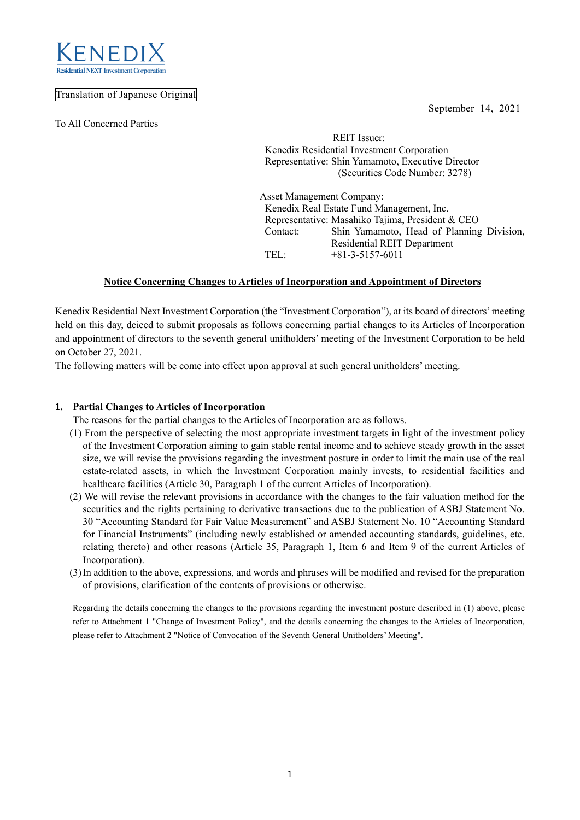September 14, 2021



## Translation of Japanese Original

To All Concerned Parties

 REIT Issuer: Kenedix Residential Investment Corporation Representative: Shin Yamamoto, Executive Director (Securities Code Number: 3278)

Asset Management Company: Kenedix Real Estate Fund Management, Inc. Representative: Masahiko Tajima, President & CEO Contact: Shin Yamamoto, Head of Planning Division, Residential REIT Department TEL: +81-3-5157-6011

## **Notice Concerning Changes to Articles of Incorporation and Appointment of Directors**

Kenedix Residential Next Investment Corporation (the "Investment Corporation"), at its board of directors'meeting held on this day, deiced to submit proposals as follows concerning partial changes to its Articles of Incorporation and appointment of directors to the seventh general unitholders' meeting of the Investment Corporation to be held on October 27, 2021.

The following matters will be come into effect upon approval at such general unitholders' meeting.

## **1. Partial Changes to Articles of Incorporation**

The reasons for the partial changes to the Articles of Incorporation are as follows.

- (1) From the perspective of selecting the most appropriate investment targets in light of the investment policy of the Investment Corporation aiming to gain stable rental income and to achieve steady growth in the asset size, we will revise the provisions regarding the investment posture in order to limit the main use of the real estate-related assets, in which the Investment Corporation mainly invests, to residential facilities and healthcare facilities (Article 30, Paragraph 1 of the current Articles of Incorporation).
- (2) We will revise the relevant provisions in accordance with the changes to the fair valuation method for the securities and the rights pertaining to derivative transactions due to the publication of ASBJ Statement No. 30 "Accounting Standard for Fair Value Measurement" and ASBJ Statement No. 10 "Accounting Standard for Financial Instruments" (including newly established or amended accounting standards, guidelines, etc. relating thereto) and other reasons (Article 35, Paragraph 1, Item 6 and Item 9 of the current Articles of Incorporation).
- (3)In addition to the above, expressions, and words and phrases will be modified and revised for the preparation of provisions, clarification of the contents of provisions or otherwise.

Regarding the details concerning the changes to the provisions regarding the investment posture described in (1) above, please refer to Attachment 1 "Change of Investment Policy", and the details concerning the changes to the Articles of Incorporation, please refer to Attachment 2 "Notice of Convocation of the Seventh General Unitholders' Meeting".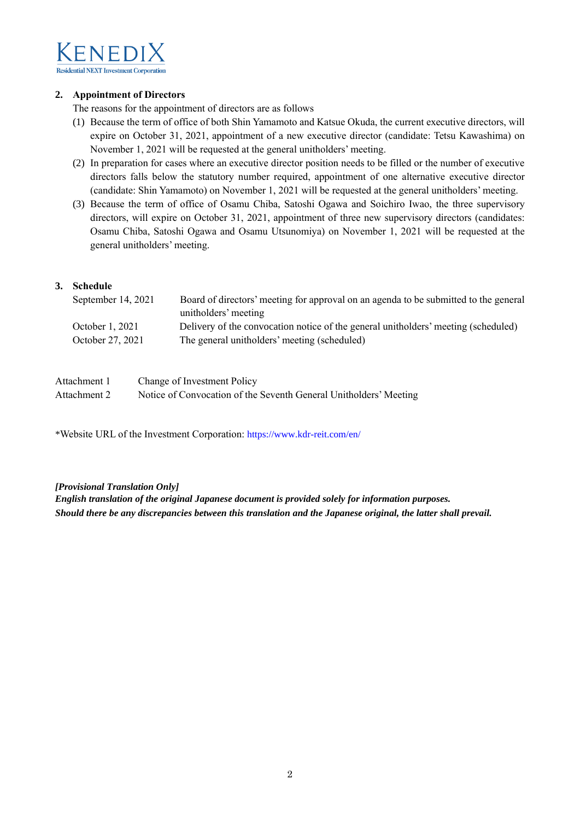

## **2. Appointment of Directors**

The reasons for the appointment of directors are as follows

- (1) Because the term of office of both Shin Yamamoto and Katsue Okuda, the current executive directors, will expire on October 31, 2021, appointment of a new executive director (candidate: Tetsu Kawashima) on November 1, 2021 will be requested at the general unitholders' meeting.
- (2) In preparation for cases where an executive director position needs to be filled or the number of executive directors falls below the statutory number required, appointment of one alternative executive director (candidate: Shin Yamamoto) on November 1, 2021 will be requested at the general unitholders' meeting.
- (3) Because the term of office of Osamu Chiba, Satoshi Ogawa and Soichiro Iwao, the three supervisory directors, will expire on October 31, 2021, appointment of three new supervisory directors (candidates: Osamu Chiba, Satoshi Ogawa and Osamu Utsunomiya) on November 1, 2021 will be requested at the general unitholders' meeting.

## **3. Schedule**

| September 14, 2021 | Board of directors' meeting for approval on an agenda to be submitted to the general |
|--------------------|--------------------------------------------------------------------------------------|
|                    | unitholders' meeting                                                                 |
| October 1, 2021    | Delivery of the convocation notice of the general unitholders' meeting (scheduled)   |
| October 27, 2021   | The general unitholders' meeting (scheduled)                                         |

| Attachment 1 | Change of Investment Policy                                       |
|--------------|-------------------------------------------------------------------|
| Attachment 2 | Notice of Convocation of the Seventh General Unitholders' Meeting |

\*Website URL of the Investment Corporation: <https://www.kdr-reit.com/en/>

## *[Provisional Translation Only]*

*English translation of the original Japanese document is provided solely for information purposes. Should there be any discrepancies between this translation and the Japanese original, the latter shall prevail.*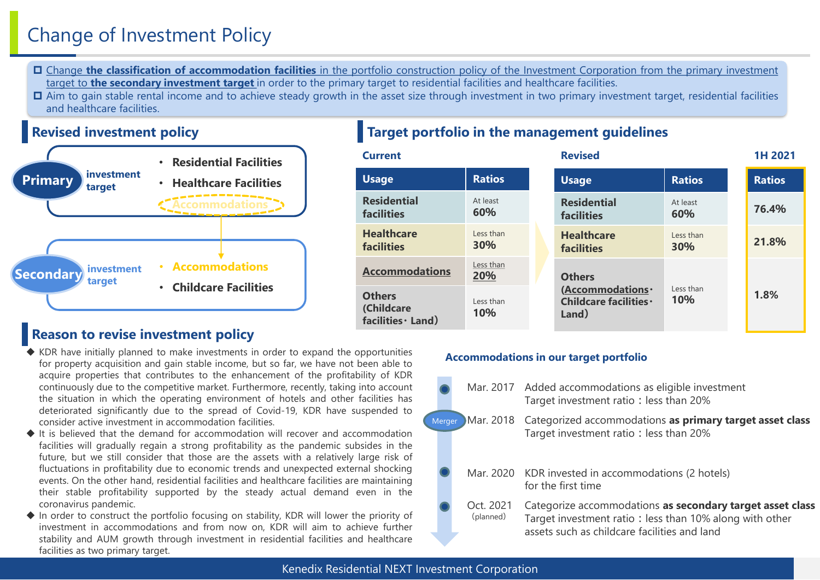# Change of Investment Policy

- Change **the classification of accommodation facilities** in the portfolio construction policy of the Investment Corporation from the primary investment target to **the secondary investment target** in order to the primary target to residential facilities and healthcare facilities.
- □ Aim to gain stable rental income and to achieve steady growth in the asset size through investment in two primary investment target, residential facilities and healthcare facilities.



## **Revised investment policy Target portfolio in the management guidelines**

| <b>Current</b>                                    |                         |  | <b>Revised</b>                                       |                         | 1H 2021       |
|---------------------------------------------------|-------------------------|--|------------------------------------------------------|-------------------------|---------------|
| <b>Usage</b>                                      | <b>Ratios</b>           |  | <b>Usage</b>                                         | <b>Ratios</b>           | <b>Ratios</b> |
| <b>Residential</b><br><b>facilities</b>           | At least<br>60%         |  | <b>Residential</b><br><b>facilities</b>              | At least<br>60%         | 76.4%         |
| <b>Healthcare</b><br><b>facilities</b>            | Less than<br><b>30%</b> |  | <b>Healthcare</b><br><b>facilities</b>               | Less than<br><b>30%</b> | 21.8%         |
| <b>Accommodations</b>                             | Less than<br>20%        |  | <b>Others</b>                                        |                         |               |
| <b>Others</b><br>(Childcare<br>facilities · Land) | Less than<br><b>10%</b> |  | (Accommodations ·<br>Childcare facilities ·<br>Land) | Less than<br><b>10%</b> | 1.8%          |

## **Reason to revise investment policy**

- $\blacklozenge$  KDR have initially planned to make investments in order to expand the opportunities for property acquisition and gain stable income, but so far, we have not been able to acquire properties that contributes to the enhancement of the profitability of KDR continuously due to the competitive market. Furthermore, recently, taking into account the situation in which the operating environment of hotels and other facilities has deteriorated significantly due to the spread of Covid-19, KDR have suspended to consider active investment in accommodation facilities.
- ◆ It is believed that the demand for accommodation will recover and accommodation facilities will gradually regain a strong profitability as the pandemic subsides in the future, but we still consider that those are the assets with a relatively large risk of fluctuations in profitability due to economic trends and unexpected external shocking events. On the other hand, residential facilities and healthcare facilities are maintaining their stable profitability supported by the steady actual demand even in the coronavirus pandemic.
- ◆ In order to construct the portfolio focusing on stability, KDR will lower the priority of investment in accommodations and from now on, KDR will aim to achieve further stability and AUM growth through investment in residential facilities and healthcare facilities as two primary target.

## **Accommodations in our target portfolio**

Merger Mar. 2017 Added accommodations as eligible investment Target investment ratio: less than 20% Mar. 2018 Categorized accommodations **as primary target asset class** Target investment ratio: less than 20% Mar. 2020 KDR invested in accommodations (2 hotels) for the first time Oct. 2021 (planned) Categorize accommodations **as secondary target asset class** Target investment ratio: less than 10% along with other assets such as childcare facilities and land

## Kenedix Residential NEXT Investment Corporation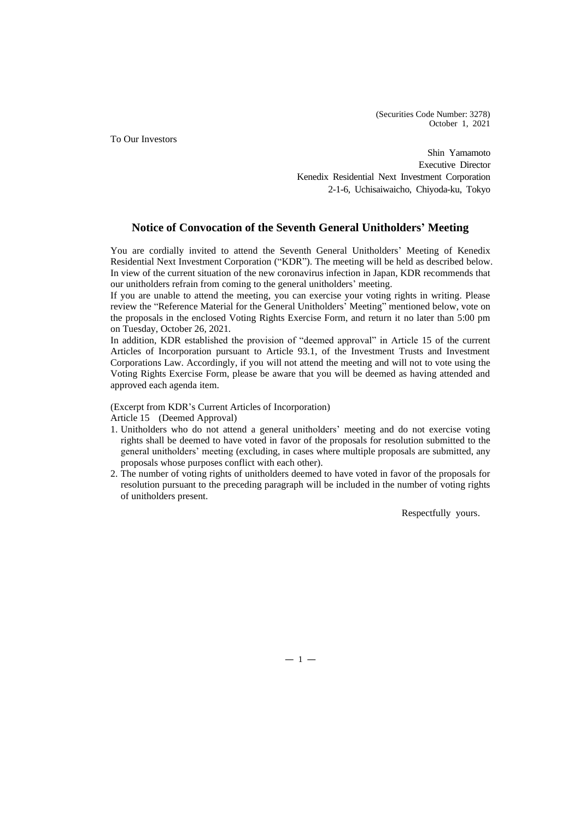(Securities Code Number: 3278) October 1, 2021

To Our Investors

Shin Yamamoto Executive Director Kenedix Residential Next Investment Corporation 2-1-6, Uchisaiwaicho, Chiyoda-ku, Tokyo

## **Notice of Convocation of the Seventh General Unitholders' Meeting**

You are cordially invited to attend the Seventh General Unitholders' Meeting of Kenedix Residential Next Investment Corporation ("KDR"). The meeting will be held as described below. In view of the current situation of the new coronavirus infection in Japan, KDR recommends that our unitholders refrain from coming to the general unitholders' meeting.

If you are unable to attend the meeting, you can exercise your voting rights in writing. Please review the "Reference Material for the General Unitholders' Meeting" mentioned below, vote on the proposals in the enclosed Voting Rights Exercise Form, and return it no later than 5:00 pm on Tuesday, October 26, 2021.

In addition, KDR established the provision of "deemed approval" in Article 15 of the current Articles of Incorporation pursuant to Article 93.1, of the Investment Trusts and Investment Corporations Law. Accordingly, if you will not attend the meeting and will not to vote using the Voting Rights Exercise Form, please be aware that you will be deemed as having attended and approved each agenda item.

(Excerpt from KDR's Current Articles of Incorporation) Article 15 (Deemed Approval)

- 1. Unitholders who do not attend a general unitholders' meeting and do not exercise voting rights shall be deemed to have voted in favor of the proposals for resolution submitted to the general unitholders' meeting (excluding, in cases where multiple proposals are submitted, any proposals whose purposes conflict with each other).
- 2. The number of voting rights of unitholders deemed to have voted in favor of the proposals for resolution pursuant to the preceding paragraph will be included in the number of voting rights of unitholders present.

Respectfully yours.

 $-1 -$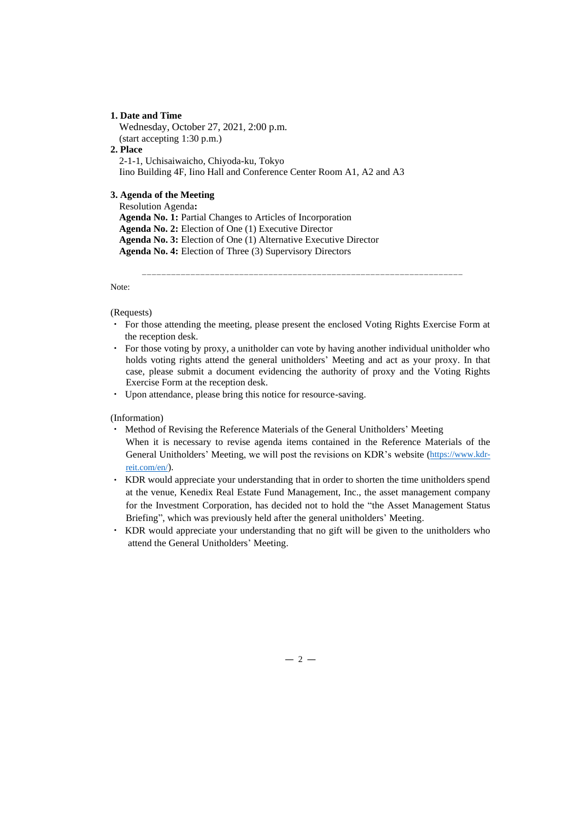## **1. Date and Time**

Wednesday, October 27, 2021, 2:00 p.m. (start accepting 1:30 p.m.) **2. Place**  2-1-1, Uchisaiwaicho, Chiyoda-ku, Tokyo Iino Building 4F, Iino Hall and Conference Center Room A1, A2 and A3

## **3. Agenda of the Meeting**

Resolution Agenda**: Agenda No. 1:** Partial Changes to Articles of Incorporation **Agenda No. 2:** Election of One (1) Executive Director **Agenda No. 3:** Election of One (1) Alternative Executive Director **Agenda No. 4:** Election of Three (3) Supervisory Directors

Note:

### (Requests)

・ For those attending the meeting, please present the enclosed Voting Rights Exercise Form at the reception desk.

------------------------------------------------------------------

- ・ For those voting by proxy, a unitholder can vote by having another individual unitholder who holds voting rights attend the general unitholders' Meeting and act as your proxy. In that case, please submit a document evidencing the authority of proxy and the Voting Rights Exercise Form at the reception desk.
- ・ Upon attendance, please bring this notice for resource-saving.

(Information)

- ・ Method of Revising the Reference Materials of the General Unitholders' Meeting When it is necessary to revise agenda items contained in the Reference Materials of the General Unitholders' Meeting, we will post the revisions on KDR's website ([https://www.kdr](https://www.kdr-reit.com/en/)[reit.com/en/](https://www.kdr-reit.com/en/)).
- ・ KDR would appreciate your understanding that in order to shorten the time unitholders spend at the venue, Kenedix Real Estate Fund Management, Inc., the asset management company for the Investment Corporation, has decided not to hold the "the Asset Management Status Briefing", which was previously held after the general unitholders' Meeting.
- ・ KDR would appreciate your understanding that no gift will be given to the unitholders who attend the General Unitholders' Meeting.

 $-2-$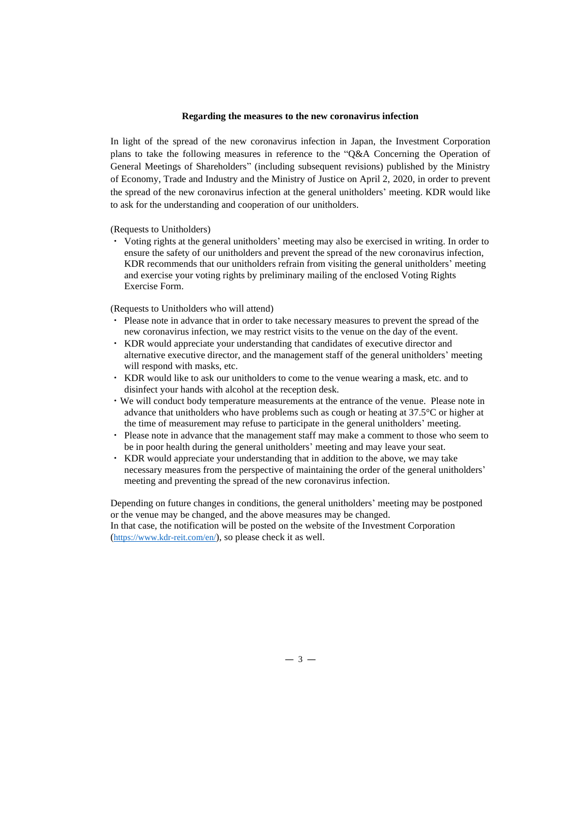### **Regarding the measures to the new coronavirus infection**

In light of the spread of the new coronavirus infection in Japan, the Investment Corporation plans to take the following measures in reference to the "Q&A Concerning the Operation of General Meetings of Shareholders" (including subsequent revisions) published by the Ministry of Economy, Trade and Industry and the Ministry of Justice on April 2, 2020, in order to prevent the spread of the new coronavirus infection at the general unitholders' meeting. KDR would like to ask for the understanding and cooperation of our unitholders.

(Requests to Unitholders)

・ Voting rights at the general unitholders' meeting may also be exercised in writing. In order to ensure the safety of our unitholders and prevent the spread of the new coronavirus infection, KDR recommends that our unitholders refrain from visiting the general unitholders' meeting and exercise your voting rights by preliminary mailing of the enclosed Voting Rights Exercise Form.

(Requests to Unitholders who will attend)

- ・ Please note in advance that in order to take necessary measures to prevent the spread of the new coronavirus infection, we may restrict visits to the venue on the day of the event.
- ・ KDR would appreciate your understanding that candidates of executive director and alternative executive director, and the management staff of the general unitholders' meeting will respond with masks, etc.
- ・ KDR would like to ask our unitholders to come to the venue wearing a mask, etc. and to disinfect your hands with alcohol at the reception desk.
- ・We will conduct body temperature measurements at the entrance of the venue. Please note in advance that unitholders who have problems such as cough or heating at 37.5°C or higher at the time of measurement may refuse to participate in the general unitholders' meeting.
- ・ Please note in advance that the management staff may make a comment to those who seem to be in poor health during the general unitholders' meeting and may leave your seat.
- KDR would appreciate your understanding that in addition to the above, we may take necessary measures from the perspective of maintaining the order of the general unitholders' meeting and preventing the spread of the new coronavirus infection.

Depending on future changes in conditions, the general unitholders' meeting may be postponed or the venue may be changed, and the above measures may be changed. In that case, the notification will be posted on the website of the Investment Corporation (<https://www.kdr-reit.com/en/>), so please check it as well.

 $-3-$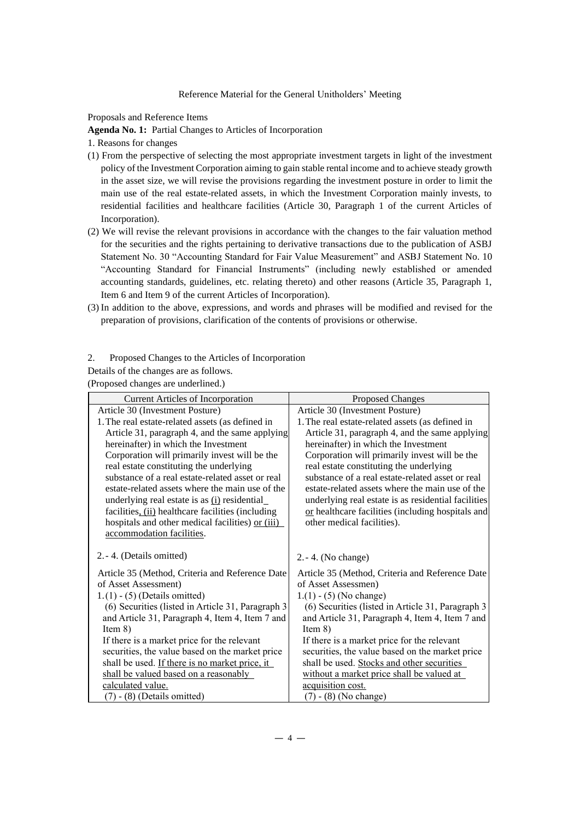Proposals and Reference Items

**Agenda No. 1:** Partial Changes to Articles of Incorporation

1. Reasons for changes

- (1) From the perspective of selecting the most appropriate investment targets in light of the investment policy of the Investment Corporation aiming to gain stable rental income and to achieve steady growth in the asset size, we will revise the provisions regarding the investment posture in order to limit the main use of the real estate-related assets, in which the Investment Corporation mainly invests, to residential facilities and healthcare facilities (Article 30, Paragraph 1 of the current Articles of Incorporation).
- (2) We will revise the relevant provisions in accordance with the changes to the fair valuation method for the securities and the rights pertaining to derivative transactions due to the publication of ASBJ Statement No. 30 "Accounting Standard for Fair Value Measurement" and ASBJ Statement No. 10 "Accounting Standard for Financial Instruments" (including newly established or amended accounting standards, guidelines, etc. relating thereto) and other reasons (Article 35, Paragraph 1, Item 6 and Item 9 of the current Articles of Incorporation).
- (3) In addition to the above, expressions, and words and phrases will be modified and revised for the preparation of provisions, clarification of the contents of provisions or otherwise.
- 2. Proposed Changes to the Articles of Incorporation
- Details of the changes are as follows.

(Proposed changes are underlined.)

| <b>Current Articles of Incorporation</b>          | <b>Proposed Changes</b>                             |
|---------------------------------------------------|-----------------------------------------------------|
| Article 30 (Investment Posture)                   | Article 30 (Investment Posture)                     |
| 1. The real estate-related assets (as defined in  | 1. The real estate-related assets (as defined in    |
| Article 31, paragraph 4, and the same applying    | Article 31, paragraph 4, and the same applying      |
| hereinafter) in which the Investment              | hereinafter) in which the Investment                |
| Corporation will primarily invest will be the     | Corporation will primarily invest will be the       |
| real estate constituting the underlying           | real estate constituting the underlying             |
| substance of a real estate-related asset or real  | substance of a real estate-related asset or real    |
| estate-related assets where the main use of the   | estate-related assets where the main use of the     |
| underlying real estate is as (i) residential      | underlying real estate is as residential facilities |
| facilities, (ii) healthcare facilities (including | or healthcare facilities (including hospitals and   |
| hospitals and other medical facilities) or (iii)  | other medical facilities).                          |
| accommodation facilities.                         |                                                     |
| 2. - 4. (Details omitted)                         | $2.-4.$ (No change)                                 |
| Article 35 (Method, Criteria and Reference Date   | Article 35 (Method, Criteria and Reference Date     |
| of Asset Assessment)                              | of Asset Assessmen)                                 |
| $1.(1) - (5)$ (Details omitted)                   | $1.(1) - (5)$ (No change)                           |
| (6) Securities (listed in Article 31, Paragraph 3 | (6) Securities (listed in Article 31, Paragraph 3   |
| and Article 31, Paragraph 4, Item 4, Item 7 and   | and Article 31, Paragraph 4, Item 4, Item 7 and     |
| Item $8)$                                         | Item $8)$                                           |
| If there is a market price for the relevant       | If there is a market price for the relevant         |
| securities, the value based on the market price   | securities, the value based on the market price     |
| shall be used. If there is no market price, it    | shall be used. Stocks and other securities          |
| shall be valued based on a reasonably             | without a market price shall be valued at           |
| calculated value.                                 | acquisition cost.                                   |
| $(7) - (8)$ (Details omitted)                     | (7) - (8) (No change)                               |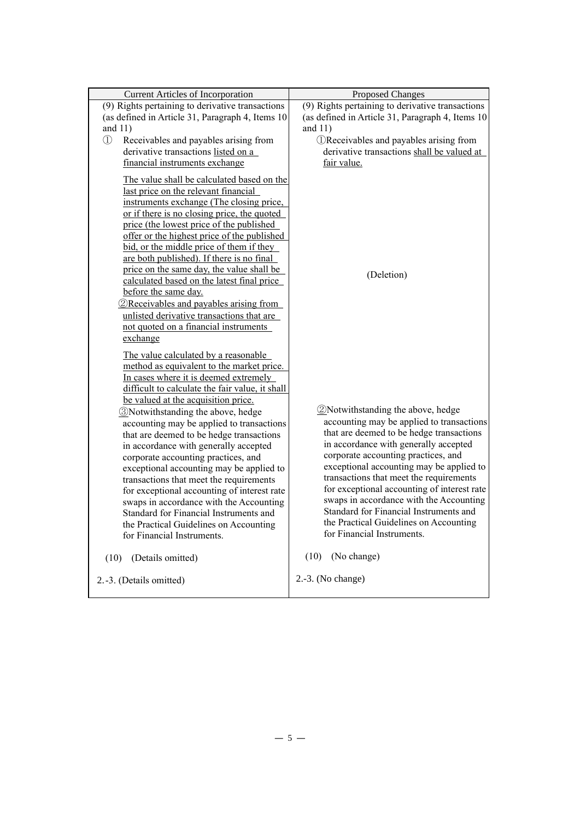| <b>Current Articles of Incorporation</b>                                                                                                                                                                                                                                                                                                                                                                                                                                                                                                                                                                                                                                                                                                      | <b>Proposed Changes</b>                                                                                                                                                                                                                                                                                                                                                                                                                                                                                                      |
|-----------------------------------------------------------------------------------------------------------------------------------------------------------------------------------------------------------------------------------------------------------------------------------------------------------------------------------------------------------------------------------------------------------------------------------------------------------------------------------------------------------------------------------------------------------------------------------------------------------------------------------------------------------------------------------------------------------------------------------------------|------------------------------------------------------------------------------------------------------------------------------------------------------------------------------------------------------------------------------------------------------------------------------------------------------------------------------------------------------------------------------------------------------------------------------------------------------------------------------------------------------------------------------|
| (9) Rights pertaining to derivative transactions                                                                                                                                                                                                                                                                                                                                                                                                                                                                                                                                                                                                                                                                                              | (9) Rights pertaining to derivative transactions                                                                                                                                                                                                                                                                                                                                                                                                                                                                             |
| (as defined in Article 31, Paragraph 4, Items 10                                                                                                                                                                                                                                                                                                                                                                                                                                                                                                                                                                                                                                                                                              | (as defined in Article 31, Paragraph 4, Items 10                                                                                                                                                                                                                                                                                                                                                                                                                                                                             |
| and $11)$                                                                                                                                                                                                                                                                                                                                                                                                                                                                                                                                                                                                                                                                                                                                     | and $11)$                                                                                                                                                                                                                                                                                                                                                                                                                                                                                                                    |
| $\circled{1}$<br>Receivables and payables arising from                                                                                                                                                                                                                                                                                                                                                                                                                                                                                                                                                                                                                                                                                        | <b>Therefore</b> DReceivables and payables arising from                                                                                                                                                                                                                                                                                                                                                                                                                                                                      |
| derivative transactions listed on a                                                                                                                                                                                                                                                                                                                                                                                                                                                                                                                                                                                                                                                                                                           | derivative transactions shall be valued at                                                                                                                                                                                                                                                                                                                                                                                                                                                                                   |
| financial instruments exchange                                                                                                                                                                                                                                                                                                                                                                                                                                                                                                                                                                                                                                                                                                                | fair value.                                                                                                                                                                                                                                                                                                                                                                                                                                                                                                                  |
| The value shall be calculated based on the<br>last price on the relevant financial<br>instruments exchange (The closing price,<br>or if there is no closing price, the quoted<br>price (the lowest price of the published<br>offer or the highest price of the published<br>bid, or the middle price of them if they<br>are both published). If there is no final<br>price on the same day, the value shall be<br>calculated based on the latest final price<br>before the same day.<br><b><i><u>2</u></i></b> Receivables and payables arising from<br>unlisted derivative transactions that are<br>not quoted on a financial instruments<br>exchange                                                                                        | (Deletion)                                                                                                                                                                                                                                                                                                                                                                                                                                                                                                                   |
| The value calculated by a reasonable<br>method as equivalent to the market price.<br>In cases where it is deemed extremely<br>difficult to calculate the fair value, it shall<br>be valued at the acquisition price.<br><b>3</b> Notwithstanding the above, hedge<br>accounting may be applied to transactions<br>that are deemed to be hedge transactions<br>in accordance with generally accepted<br>corporate accounting practices, and<br>exceptional accounting may be applied to<br>transactions that meet the requirements<br>for exceptional accounting of interest rate<br>swaps in accordance with the Accounting<br>Standard for Financial Instruments and<br>the Practical Guidelines on Accounting<br>for Financial Instruments. | <b><i>Q</i></b> Notwithstanding the above, hedge<br>accounting may be applied to transactions<br>that are deemed to be hedge transactions<br>in accordance with generally accepted<br>corporate accounting practices, and<br>exceptional accounting may be applied to<br>transactions that meet the requirements<br>for exceptional accounting of interest rate<br>swaps in accordance with the Accounting<br>Standard for Financial Instruments and<br>the Practical Guidelines on Accounting<br>for Financial Instruments. |
| (Details omitted)<br>(10)                                                                                                                                                                                                                                                                                                                                                                                                                                                                                                                                                                                                                                                                                                                     | (10)<br>(No change)                                                                                                                                                                                                                                                                                                                                                                                                                                                                                                          |
| 2.-3. (Details omitted)                                                                                                                                                                                                                                                                                                                                                                                                                                                                                                                                                                                                                                                                                                                       | $2.-3.$ (No change)                                                                                                                                                                                                                                                                                                                                                                                                                                                                                                          |
|                                                                                                                                                                                                                                                                                                                                                                                                                                                                                                                                                                                                                                                                                                                                               |                                                                                                                                                                                                                                                                                                                                                                                                                                                                                                                              |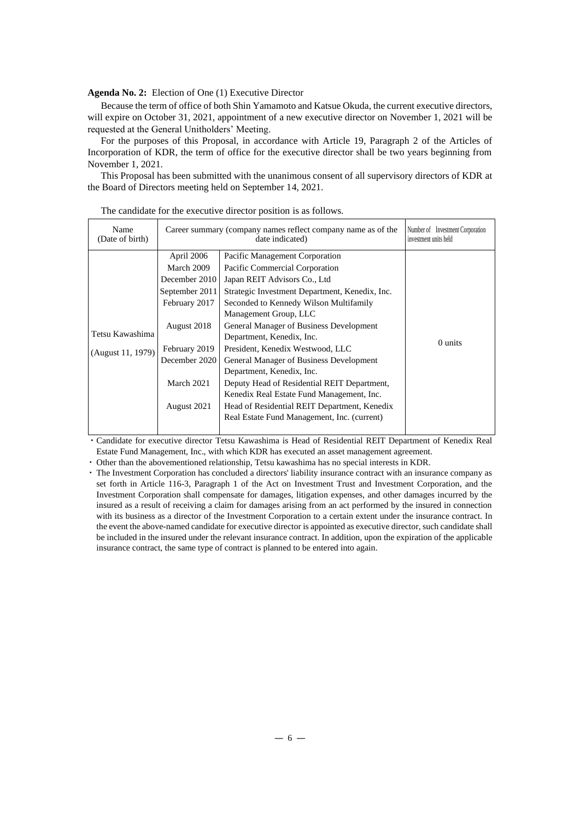**Agenda No. 2:** Election of One (1) Executive Director

Because the term of office of both Shin Yamamoto and Katsue Okuda, the current executive directors, will expire on October 31, 2021, appointment of a new executive director on November 1, 2021 will be requested at the General Unitholders' Meeting.

For the purposes of this Proposal, in accordance with Article 19, Paragraph 2 of the Articles of Incorporation of KDR, the term of office for the executive director shall be two years beginning from November 1, 2021.

This Proposal has been submitted with the unanimous consent of all supervisory directors of KDR at the Board of Directors meeting held on September 14, 2021.

| Name<br>(Date of birth) | Career summary (company names reflect company name as of the | Number of Investment Corporation<br>investment units held |         |
|-------------------------|--------------------------------------------------------------|-----------------------------------------------------------|---------|
|                         | April 2006                                                   | Pacific Management Corporation                            |         |
|                         | March 2009                                                   | Pacific Commercial Corporation                            |         |
|                         | December 2010                                                | Japan REIT Advisors Co., Ltd                              |         |
|                         | September 2011                                               | Strategic Investment Department, Kenedix, Inc.            |         |
|                         | February 2017                                                | Seconded to Kennedy Wilson Multifamily                    |         |
|                         |                                                              | Management Group, LLC                                     |         |
|                         | August 2018                                                  | General Manager of Business Development                   |         |
| Tetsu Kawashima         |                                                              | Department, Kenedix, Inc.                                 |         |
| (August 11, 1979)       | February 2019                                                | President, Kenedix Westwood, LLC                          | 0 units |
|                         | December 2020                                                | General Manager of Business Development                   |         |
|                         |                                                              | Department, Kenedix, Inc.                                 |         |
|                         | March 2021                                                   | Deputy Head of Residential REIT Department,               |         |
|                         |                                                              | Kenedix Real Estate Fund Management, Inc.                 |         |
|                         | August 2021                                                  | Head of Residential REIT Department, Kenedix              |         |
|                         |                                                              | Real Estate Fund Management, Inc. (current)               |         |
|                         |                                                              |                                                           |         |

The candidate for the executive director position is as follows.

・Candidate for executive director Tetsu Kawashima is Head of Residential REIT Department of Kenedix Real Estate Fund Management, Inc., with which KDR has executed an asset management agreement.

・Other than the abovementioned relationship, Tetsu kawashima has no special interests in KDR.

・The Investment Corporation has concluded a directors' liability insurance contract with an insurance company as set forth in Article 116-3, Paragraph 1 of the Act on Investment Trust and Investment Corporation, and the Investment Corporation shall compensate for damages, litigation expenses, and other damages incurred by the insured as a result of receiving a claim for damages arising from an act performed by the insured in connection with its business as a director of the Investment Corporation to a certain extent under the insurance contract. In the event the above-named candidate for executive director is appointed as executive director, such candidate shall be included in the insured under the relevant insurance contract. In addition, upon the expiration of the applicable insurance contract, the same type of contract is planned to be entered into again.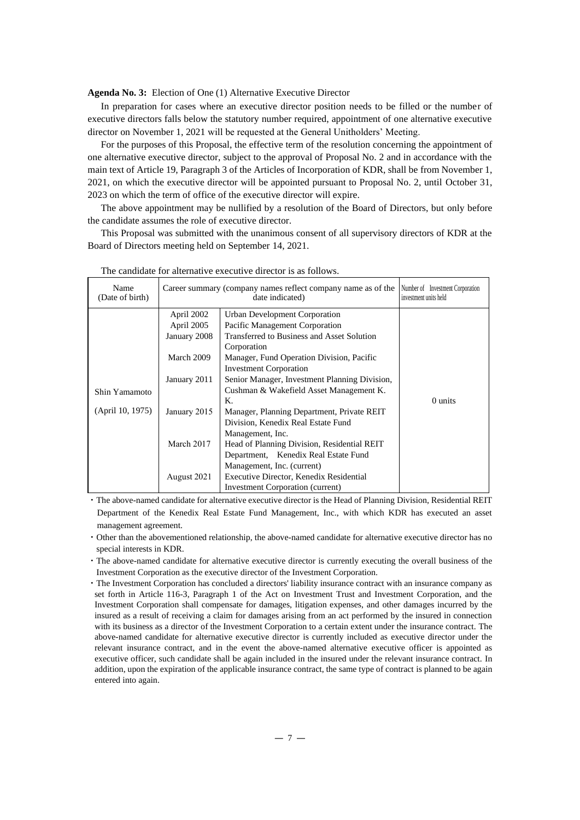**Agenda No. 3:** Election of One (1) Alternative Executive Director

In preparation for cases where an executive director position needs to be filled or the number of executive directors falls below the statutory number required, appointment of one alternative executive director on November 1, 2021 will be requested at the General Unitholders' Meeting.

For the purposes of this Proposal, the effective term of the resolution concerning the appointment of one alternative executive director, subject to the approval of Proposal No. 2 and in accordance with the main text of Article 19, Paragraph 3 of the Articles of Incorporation of KDR, shall be from November 1, 2021, on which the executive director will be appointed pursuant to Proposal No. 2, until October 31, 2023 on which the term of office of the executive director will expire.

The above appointment may be nullified by a resolution of the Board of Directors, but only before the candidate assumes the role of executive director.

This Proposal was submitted with the unanimous consent of all supervisory directors of KDR at the Board of Directors meeting held on September 14, 2021.

| Name<br>(Date of birth)           | Career summary (company names reflect company name as of the                                                        | Number of Investment Corporation<br>investment units held                                                                                                                                                                                                                                                                                                                                                                                                                                                                                                                                               |         |
|-----------------------------------|---------------------------------------------------------------------------------------------------------------------|---------------------------------------------------------------------------------------------------------------------------------------------------------------------------------------------------------------------------------------------------------------------------------------------------------------------------------------------------------------------------------------------------------------------------------------------------------------------------------------------------------------------------------------------------------------------------------------------------------|---------|
| Shin Yamamoto<br>(April 10, 1975) | April 2002<br>April 2005<br>January 2008<br>March 2009<br>January 2011<br>January 2015<br>March 2017<br>August 2021 | date indicated)<br>Urban Development Corporation<br>Pacific Management Corporation<br>Transferred to Business and Asset Solution<br>Corporation<br>Manager, Fund Operation Division, Pacific<br><b>Investment Corporation</b><br>Senior Manager, Investment Planning Division,<br>Cushman & Wakefield Asset Management K.<br>K.<br>Manager, Planning Department, Private REIT<br>Division, Kenedix Real Estate Fund<br>Management, Inc.<br>Head of Planning Division, Residential REIT<br>Department, Kenedix Real Estate Fund<br>Management, Inc. (current)<br>Executive Director, Kenedix Residential | 0 units |
|                                   |                                                                                                                     | <b>Investment Corporation (current)</b>                                                                                                                                                                                                                                                                                                                                                                                                                                                                                                                                                                 |         |

The candidate for alternative executive director is as follows.

・The above-named candidate for alternative executive director is the Head of Planning Division, Residential REIT Department of the Kenedix Real Estate Fund Management, Inc., with which KDR has executed an asset management agreement.

・Other than the abovementioned relationship, the above-named candidate for alternative executive director has no special interests in KDR.

- ・The above-named candidate for alternative executive director is currently executing the overall business of the Investment Corporation as the executive director of the Investment Corporation.
- ・The Investment Corporation has concluded a directors' liability insurance contract with an insurance company as set forth in Article 116-3, Paragraph 1 of the Act on Investment Trust and Investment Corporation, and the Investment Corporation shall compensate for damages, litigation expenses, and other damages incurred by the insured as a result of receiving a claim for damages arising from an act performed by the insured in connection with its business as a director of the Investment Corporation to a certain extent under the insurance contract. The above-named candidate for alternative executive director is currently included as executive director under the relevant insurance contract, and in the event the above-named alternative executive officer is appointed as executive officer, such candidate shall be again included in the insured under the relevant insurance contract. In addition, upon the expiration of the applicable insurance contract, the same type of contract is planned to be again entered into again.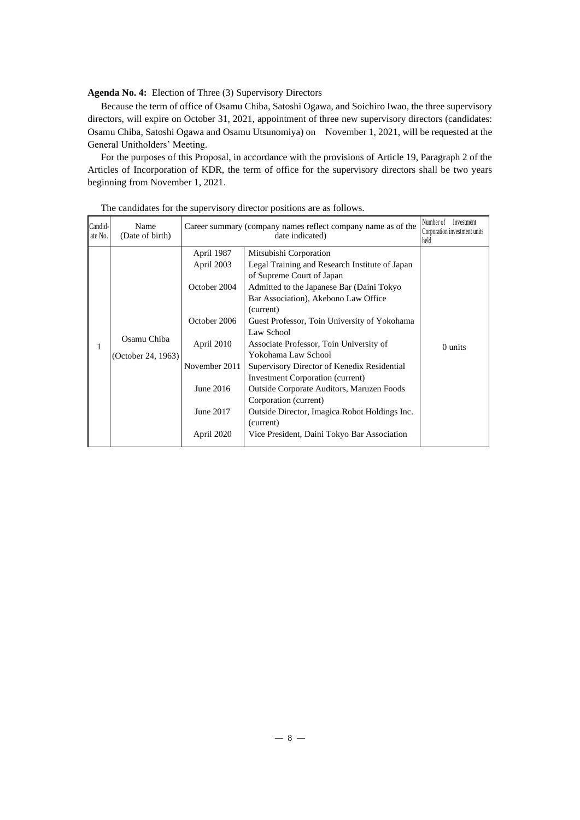**Agenda No. 4:** Election of Three (3) Supervisory Directors

Because the term of office of Osamu Chiba, Satoshi Ogawa, and Soichiro Iwao, the three supervisory directors, will expire on October 31, 2021, appointment of three new supervisory directors (candidates: Osamu Chiba, Satoshi Ogawa and Osamu Utsunomiya) on November 1, 2021, will be requested at the General Unitholders' Meeting.

For the purposes of this Proposal, in accordance with the provisions of Article 19, Paragraph 2 of the Articles of Incorporation of KDR, the term of office for the supervisory directors shall be two years beginning from November 1, 2021.

| Candid-<br>ate No. | Name<br>(Date of birth)           | Career summary (company names reflect company name as of the                                                                    | Number of<br>Investment<br>Corporation investment units<br>held                                                                                                                                                                                                                                                                                                                                                                                                                                                                                                                                                             |         |
|--------------------|-----------------------------------|---------------------------------------------------------------------------------------------------------------------------------|-----------------------------------------------------------------------------------------------------------------------------------------------------------------------------------------------------------------------------------------------------------------------------------------------------------------------------------------------------------------------------------------------------------------------------------------------------------------------------------------------------------------------------------------------------------------------------------------------------------------------------|---------|
| 1                  | Osamu Chiba<br>(October 24, 1963) | April 1987<br>April 2003<br>October 2004<br>October 2006<br>April 2010<br>November 2011<br>June 2016<br>June 2017<br>April 2020 | Mitsubishi Corporation<br>Legal Training and Research Institute of Japan<br>of Supreme Court of Japan<br>Admitted to the Japanese Bar (Daini Tokyo<br>Bar Association), Akebono Law Office<br>(current)<br>Guest Professor, Toin University of Yokohama<br>Law School<br>Associate Professor, Toin University of<br>Yokohama Law School<br>Supervisory Director of Kenedix Residential<br><b>Investment Corporation (current)</b><br><b>Outside Corporate Auditors, Maruzen Foods</b><br>Corporation (current)<br>Outside Director, Imagica Robot Holdings Inc.<br>(current)<br>Vice President, Daini Tokyo Bar Association | 0 units |

The candidates for the supervisory director positions are as follows.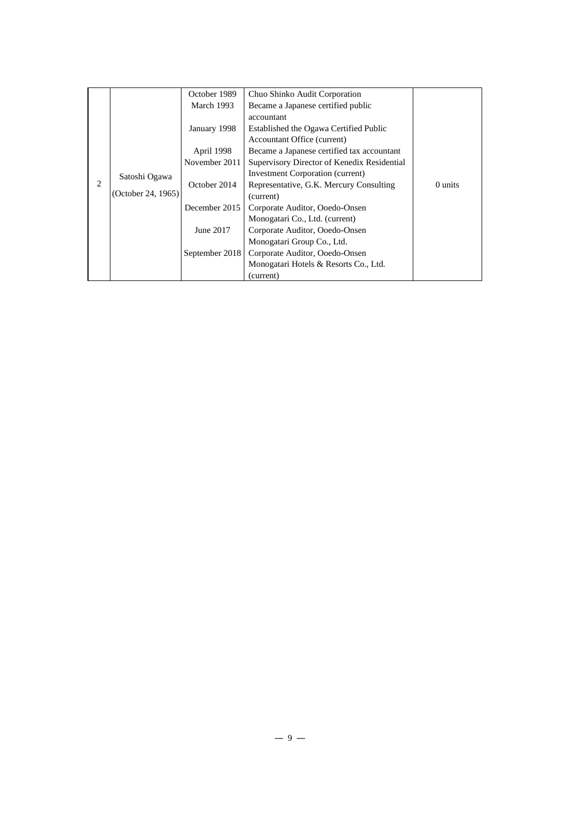|                |                                     | October 1989   | Chuo Shinko Audit Corporation               |         |
|----------------|-------------------------------------|----------------|---------------------------------------------|---------|
|                |                                     |                |                                             |         |
|                |                                     | March 1993     | Became a Japanese certified public          |         |
|                |                                     |                | accountant                                  |         |
|                |                                     | January 1998   | Established the Ogawa Certified Public      |         |
|                |                                     |                | Accountant Office (current)                 |         |
|                |                                     | April 1998     | Became a Japanese certified tax accountant  |         |
|                |                                     | November 2011  | Supervisory Director of Kenedix Residential |         |
|                | Satoshi Ogawa<br>(October 24, 1965) |                | Investment Corporation (current)            |         |
| $\overline{2}$ |                                     | October 2014   | Representative, G.K. Mercury Consulting     | 0 units |
|                |                                     |                | (current)                                   |         |
|                |                                     | December 2015  | Corporate Auditor, Ooedo-Onsen              |         |
|                |                                     |                | Monogatari Co., Ltd. (current)              |         |
|                |                                     | June 2017      | Corporate Auditor, Ooedo-Onsen              |         |
|                |                                     |                | Monogatari Group Co., Ltd.                  |         |
|                |                                     | September 2018 | Corporate Auditor, Ooedo-Onsen              |         |
|                |                                     |                | Monogatari Hotels & Resorts Co., Ltd.       |         |
|                |                                     |                | (current)                                   |         |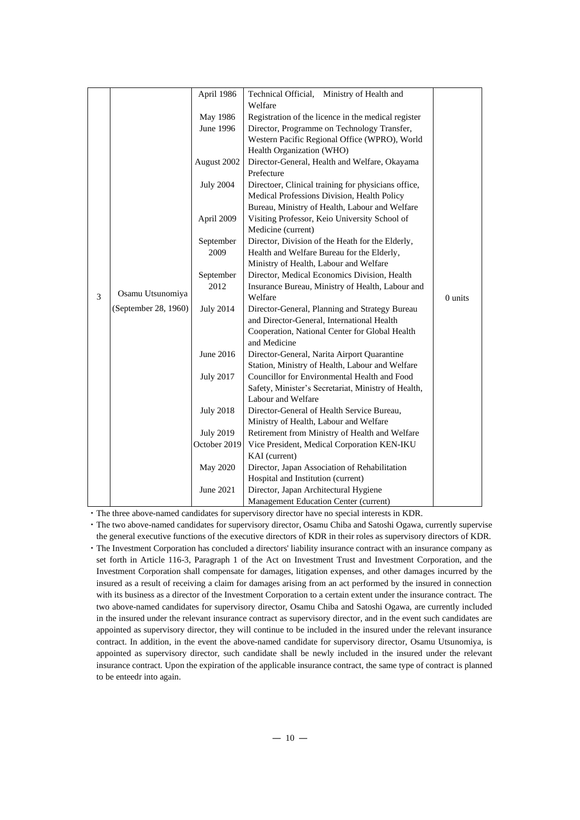|   |                      | April 1986       | Technical Official,<br>Ministry of Health and<br>Welfare |         |
|---|----------------------|------------------|----------------------------------------------------------|---------|
|   |                      | May 1986         | Registration of the licence in the medical register      |         |
|   |                      | June 1996        | Director, Programme on Technology Transfer,              |         |
|   |                      |                  | Western Pacific Regional Office (WPRO), World            |         |
|   |                      |                  | Health Organization (WHO)                                |         |
|   |                      | August 2002      | Director-General, Health and Welfare, Okayama            |         |
|   |                      |                  | Prefecture                                               |         |
|   |                      | <b>July 2004</b> | Directoer, Clinical training for physicians office,      |         |
|   |                      |                  | Medical Professions Division, Health Policy              |         |
|   |                      |                  | Bureau, Ministry of Health, Labour and Welfare           |         |
|   |                      | April 2009       | Visiting Professor, Keio University School of            |         |
|   |                      |                  | Medicine (current)                                       |         |
|   |                      | September        | Director, Division of the Heath for the Elderly,         |         |
|   |                      | 2009             | Health and Welfare Bureau for the Elderly,               |         |
|   |                      |                  | Ministry of Health, Labour and Welfare                   |         |
|   |                      | September        | Director, Medical Economics Division, Health             |         |
|   |                      | 2012             | Insurance Bureau, Ministry of Health, Labour and         |         |
| 3 | Osamu Utsunomiya     |                  | Welfare                                                  | 0 units |
|   | (September 28, 1960) | <b>July 2014</b> | Director-General, Planning and Strategy Bureau           |         |
|   |                      |                  | and Director-General, International Health               |         |
|   |                      |                  | Cooperation, National Center for Global Health           |         |
|   |                      |                  | and Medicine                                             |         |
|   |                      | June 2016        | Director-General, Narita Airport Quarantine              |         |
|   |                      |                  | Station, Ministry of Health, Labour and Welfare          |         |
|   |                      | <b>July 2017</b> | Councillor for Environmental Health and Food             |         |
|   |                      |                  | Safety, Minister's Secretariat, Ministry of Health,      |         |
|   |                      |                  | Labour and Welfare                                       |         |
|   |                      | <b>July 2018</b> | Director-General of Health Service Bureau,               |         |
|   |                      |                  | Ministry of Health, Labour and Welfare                   |         |
|   |                      | <b>July 2019</b> | Retirement from Ministry of Health and Welfare           |         |
|   |                      | October 2019     | Vice President, Medical Corporation KEN-IKU              |         |
|   |                      |                  | KAI (current)                                            |         |
|   |                      | May 2020         | Director, Japan Association of Rehabilitation            |         |
|   |                      |                  | Hospital and Institution (current)                       |         |
|   |                      | June 2021        | Director, Japan Architectural Hygiene                    |         |
|   |                      |                  | Management Education Center (current)                    |         |

・The three above-named candidates for supervisory director have no special interests in KDR.

・The two above-named candidates for supervisory director, Osamu Chiba and Satoshi Ogawa, currently supervise the general executive functions of the executive directors of KDR in their roles as supervisory directors of KDR.

・The Investment Corporation has concluded a directors' liability insurance contract with an insurance company as set forth in Article 116-3, Paragraph 1 of the Act on Investment Trust and Investment Corporation, and the Investment Corporation shall compensate for damages, litigation expenses, and other damages incurred by the insured as a result of receiving a claim for damages arising from an act performed by the insured in connection with its business as a director of the Investment Corporation to a certain extent under the insurance contract. The two above-named candidates for supervisory director, Osamu Chiba and Satoshi Ogawa, are currently included in the insured under the relevant insurance contract as supervisory director, and in the event such candidates are appointed as supervisory director, they will continue to be included in the insured under the relevant insurance contract. In addition, in the event the above-named candidate for supervisory director, Osamu Utsunomiya, is appointed as supervisory director, such candidate shall be newly included in the insured under the relevant insurance contract. Upon the expiration of the applicable insurance contract, the same type of contract is planned to be enteedr into again.